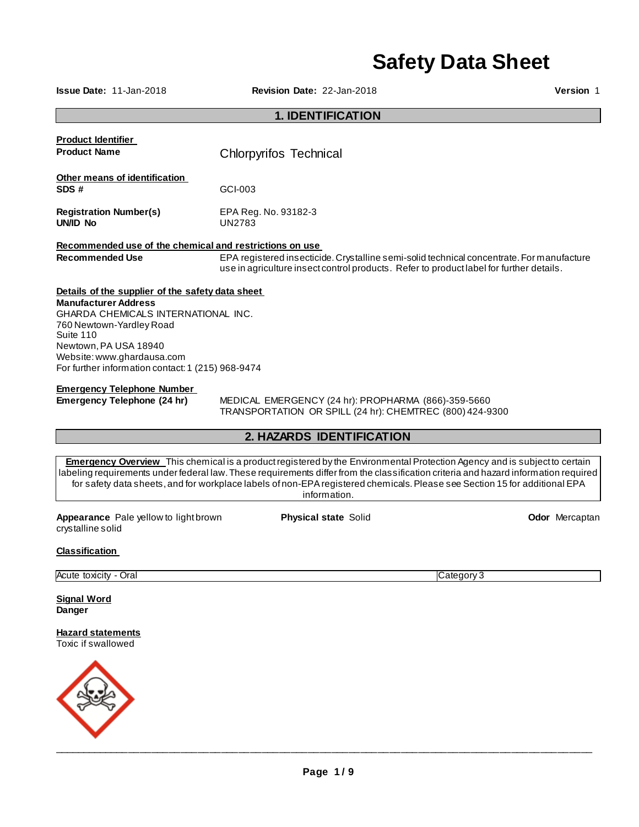# **Safety Data Sheet**

**Issue Date:** 11-Jan-2018 **Revision Date:** 22-Jan-2018 **Version** 1

# **1. IDENTIFICATION**

| <b>Product Identifier</b>                               |                                                                                                                                                                                      |  |  |  |
|---------------------------------------------------------|--------------------------------------------------------------------------------------------------------------------------------------------------------------------------------------|--|--|--|
| <b>Product Name</b>                                     | Chlorpyrifos Technical                                                                                                                                                               |  |  |  |
| Other means of identification                           |                                                                                                                                                                                      |  |  |  |
| SDS#                                                    | GCI-003                                                                                                                                                                              |  |  |  |
| <b>Registration Number(s)</b><br>UN/ID No               | EPA Reg. No. 93182-3<br>UN2783                                                                                                                                                       |  |  |  |
| Recommended use of the chemical and restrictions on use |                                                                                                                                                                                      |  |  |  |
| <b>Recommended Use</b>                                  | EPA registered insecticide. Crystalline semi-solid technical concentrate. For manufacture<br>use in agriculture insect control products. Refer to product label for further details. |  |  |  |
| Details of the supplier of the safety data sheet        |                                                                                                                                                                                      |  |  |  |
| <b>Manufacturer Address</b>                             |                                                                                                                                                                                      |  |  |  |
| <b>GHARDA CHEMICALS INTERNATIONAL INC.</b>              |                                                                                                                                                                                      |  |  |  |
| 760 Newtown-Yardley Road<br>Suite 110                   |                                                                                                                                                                                      |  |  |  |
| Newtown, PA USA 18940                                   |                                                                                                                                                                                      |  |  |  |
| Website: www.ghardausa.com                              |                                                                                                                                                                                      |  |  |  |
| For further information contact: 1 (215) 968-9474       |                                                                                                                                                                                      |  |  |  |
| <b>Emergency Telephone Number</b>                       |                                                                                                                                                                                      |  |  |  |
| Emergency Telephone (24 hr)                             | MEDICAL EMERGENCY (24 hr): PROPHARMA (866)-359-5660<br>TRANSPORTATION OR SPILL (24 hr): CHEMTREC (800) 424-9300                                                                      |  |  |  |

# **2. HAZARDS IDENTIFICATION**

**Emergency Overview** This chemical is a product registered by the Environmental Protection Agency and is subject to certain labeling requirements under federal law. These requirements differ from the classification criteria and hazard information required for safety data sheets, and for workplace labels of non-EPA registered chemicals. Please see Section 15 for additional EPA information.

**Appearance** Pale yellow to light brown crystalline solid

**Physical state Solid Community Community Community Community Codor Mercaptan** 

#### **Classification**

Acute toxicity - Oral Category 3

**Signal Word Danger** 

**Hazard statements** Toxic if swallowed

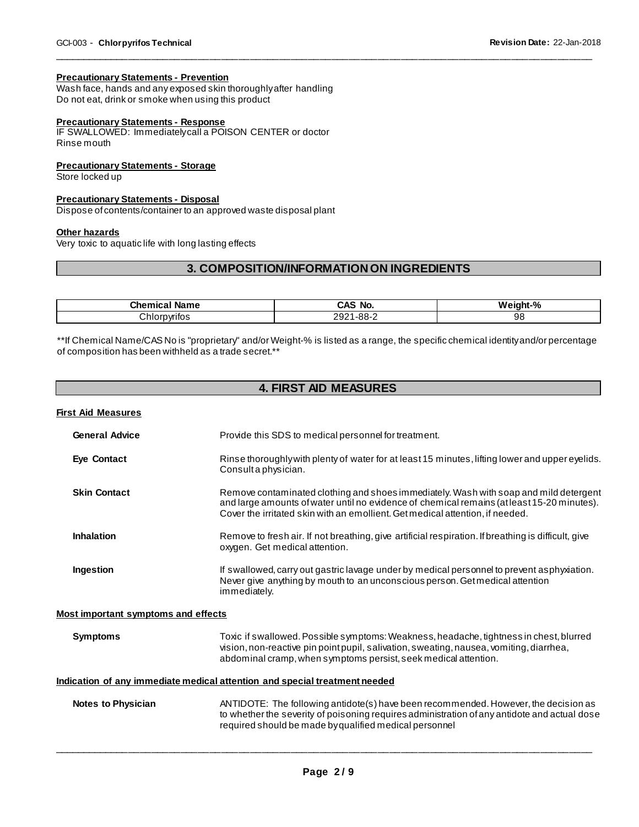#### **Precautionary Statements - Prevention**

Wash face, hands and any exposed skin thoroughly after handling Do not eat, drink or smoke when using this product

#### **Precautionary Statements - Response**

IF SWALLOWED: Immediately call a POISON CENTER or doctor Rinse mouth

#### **Precautionary Statements - Storage**

Store locked up

#### **Precautionary Statements - Disposal**

Dispose of contents/container to an approved waste disposal plant

#### **Other hazards**

Very toxic to aquatic life with long lasting effects

# **3. COMPOSITION/INFORMATION ON INGREDIENTS**

\_\_\_\_\_\_\_\_\_\_\_\_\_\_\_\_\_\_\_\_\_\_\_\_\_\_\_\_\_\_\_\_\_\_\_\_\_\_\_\_\_\_\_\_\_\_\_\_\_\_\_\_\_\_\_\_\_\_\_\_\_\_\_\_\_\_\_\_\_\_\_\_\_\_\_\_\_\_\_\_\_\_\_\_\_\_\_\_\_\_\_\_\_

| Chemical<br>Name | `No.<br>CAS  | W.<br>$\mathbf{a}$<br>night-<br>70 |
|------------------|--------------|------------------------------------|
| Chlorpvrifos     | -88-2<br>ים∂ | 98                                 |

\*\*If Chemical Name/CAS No is "proprietary" and/or Weight-% is listed as a range, the specific chemical identity and/or percentage of composition has been withheld as a trade secret.\*\*

# **4. FIRST AID MEASURES**

| <u>First Aid Measures</u>                  |                                                                                                                                                                                                                                                                      |
|--------------------------------------------|----------------------------------------------------------------------------------------------------------------------------------------------------------------------------------------------------------------------------------------------------------------------|
| <b>General Advice</b>                      | Provide this SDS to medical personnel for treatment.                                                                                                                                                                                                                 |
| <b>Eye Contact</b>                         | Rinse thoroughly with plenty of water for at least 15 minutes, lifting lower and upper eyelids.<br>Consulta physician.                                                                                                                                               |
| <b>Skin Contact</b>                        | Remove contaminated clothing and shoes immediately. Wash with soap and mild detergent<br>and large amounts of water until no evidence of chemical remains (at least 15-20 minutes).<br>Cover the irritated skin with an emollient. Get medical attention, if needed. |
| <b>Inhalation</b>                          | Remove to fresh air. If not breathing, give artificial respiration. If breathing is difficult, give<br>oxygen. Get medical attention.                                                                                                                                |
| Ingestion                                  | If swallowed, carry out gastric lavage under by medical personnel to prevent asphyxiation.<br>Never give anything by mouth to an unconscious person. Get medical attention<br>immediately.                                                                           |
| <b>Most important symptoms and effects</b> |                                                                                                                                                                                                                                                                      |
| <b>Symptoms</b>                            | Toxic if swallowed. Possible symptoms: Weakness, headache, tightness in chest, blurred<br>vision, non-reactive pin point pupil, salivation, sweating, nausea, vomiting, diarrhea,<br>abdominal cramp, when symptoms persist, seek medical attention.                 |
|                                            | Indication of any immediate medical attention and special treatment needed                                                                                                                                                                                           |
| <b>Notes to Physician</b>                  | ANTIDOTE: The following antidote(s) have been recommended. However, the decision as<br>to whether the severity of poisoning requires administration of any antidote and actual dose<br>required should be made by qualified medical personnel                        |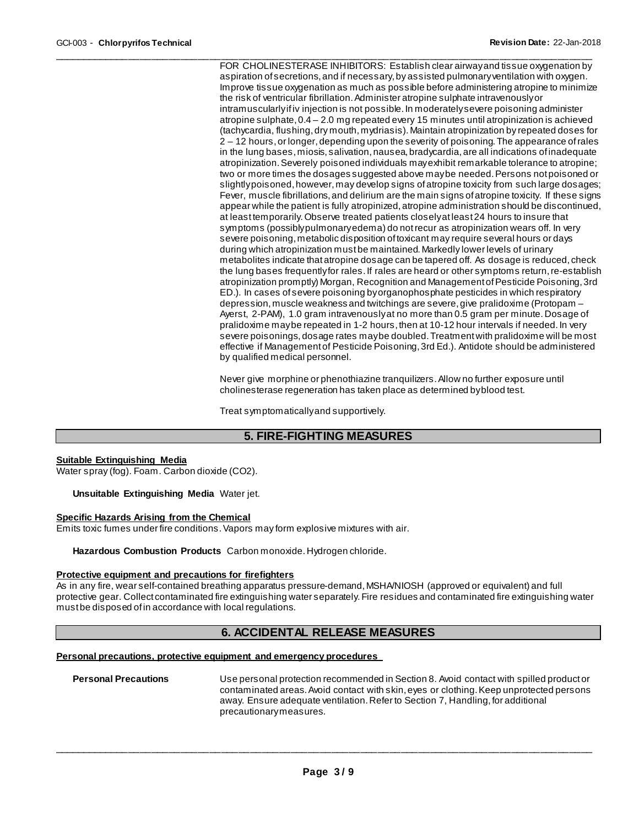\_\_\_\_\_\_\_\_\_\_\_\_\_\_\_\_\_\_\_\_\_\_\_\_\_\_\_\_\_\_\_\_\_\_\_\_\_\_\_\_\_\_\_\_\_\_\_\_\_\_\_\_\_\_\_\_\_\_\_\_\_\_\_\_\_\_\_\_\_\_\_\_\_\_\_\_\_\_\_\_\_\_\_\_\_\_\_\_\_\_\_\_\_ FOR CHOLINESTERASE INHIBITORS: Establish clear airway and tissue oxygenation by aspiration of secretions, and if necessary, by assisted pulmonary ventilation with oxygen. Improve tissue oxygenation as much as possible before administering atropine to minimize the risk of ventricular fibrillation. Administer atropine sulphate intravenously or intramuscularly if iv injection is not possible. In moderately severe poisoning administer atropine sulphate, 0.4 – 2.0 mg repeated every 15 minutes until atropinization is achieved (tachycardia, flushing, dry mouth, mydriasis). Maintain atropinization by repeated doses for 2 – 12 hours, or longer, depending upon the severity of poisoning. The appearance of rales in the lung bases, miosis, salivation, nausea, bradycardia, are all indications of inadequate atropinization. Severely poisoned individuals may exhibit remarkable tolerance to atropine; two or more times the dosages suggested above may be needed. Persons not poisoned or slightly poisoned, however, may develop signs of atropine toxicity from such large dosages; Fever, muscle fibrillations, and delirium are the main signs of atropine toxicity. If these signs appear while the patient is fully atropinized, atropine administration should be discontinued, at least temporarily. Observe treated patients closely at least 24 hours to insure that symptoms (possibly pulmonary edema) do not recur as atropinization wears off. In very severe poisoning, metabolic disposition of toxicant may require several hours or days during which atropinization must be maintained. Markedly lower levels of urinary metabolites indicate that atropine dosage can be tapered off. As dosage is reduced, check the lung bases frequently for rales. If rales are heard or other symptoms return, re-establish atropinization promptly) Morgan, Recognition and Management of Pesticide Poisoning, 3rd ED.). In cases of severe poisoning by organophosphate pesticides in which respiratory depression, muscle weakness and twitchings are severe, give pralidoxime (Protopam – Ayerst, 2-PAM), 1.0 gram intravenously at no more than 0.5 gram per minute. Dosage of pralidoxime may be repeated in 1-2 hours, then at 10-12 hour intervals if needed. In very severe poisonings, dosage rates may be doubled. Treatment with pralidoxime will be most effective if Management of Pesticide Poisoning, 3rd Ed.). Antidote should be administered by qualified medical personnel.

> Never give morphine or phenothiazine tranquilizers. Allow no further exposure until cholinesterase regeneration has taken place as determined by blood test.

Treat symptomatically and supportively.

# **5. FIRE-FIGHTING MEASURES**

#### **Suitable Extinguishing Media**

Water spray (fog). Foam. Carbon dioxide (CO2).

**Unsuitable Extinguishing Media** Water jet.

#### **Specific Hazards Arising from the Chemical**

Emits toxic fumes under fire conditions. Vapors may form explosive mixtures with air.

**Hazardous Combustion Products** Carbon monoxide. Hydrogen chloride.

#### **Protective equipment and precautions for firefighters**

As in any fire, wear self-contained breathing apparatus pressure-demand, MSHA/NIOSH (approved or equivalent) and full protective gear. Collect contaminated fire extinguishing water separately. Fire residues and contaminated fire extinguishing water must be disposed of in accordance with local regulations.

### **6. ACCIDENTAL RELEASE MEASURES**

### **Personal precautions, protective equipment and emergency procedures**

**Personal Precautions** Use personal protection recommended in Section 8. Avoid contact with spilled product or contaminated areas. Avoid contact with skin, eyes or clothing. Keep unprotected persons away. Ensure adequate ventilation. Refer to Section 7, Handling, for additional precautionary measures.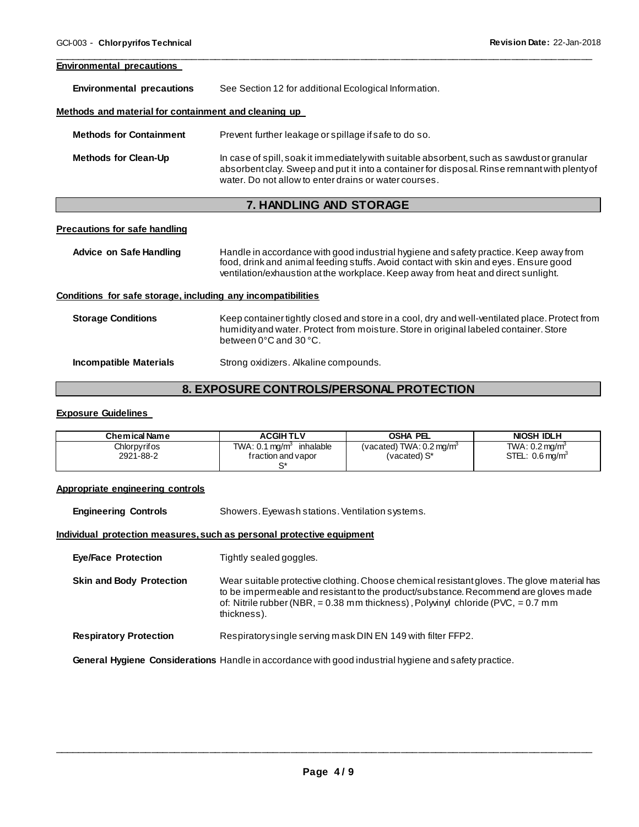#### **Environmental precautions**

**Environmental precautions** See Section 12 for additional Ecological Information.

#### **Methods and material for containment and cleaning up**

| <b>Methods for Containment</b> | Prevent further leakage or spillage if safe to do so.                                                                                                                                                                                               |
|--------------------------------|-----------------------------------------------------------------------------------------------------------------------------------------------------------------------------------------------------------------------------------------------------|
| <b>Methods for Clean-Up</b>    | In case of spill, soak it immediately with suitable absorbent, such as sawdust or granular<br>absorbent clay. Sweep and put it into a container for disposal. Rinse remnant with plenty of<br>water. Do not allow to enter drains or water courses. |

\_\_\_\_\_\_\_\_\_\_\_\_\_\_\_\_\_\_\_\_\_\_\_\_\_\_\_\_\_\_\_\_\_\_\_\_\_\_\_\_\_\_\_\_\_\_\_\_\_\_\_\_\_\_\_\_\_\_\_\_\_\_\_\_\_\_\_\_\_\_\_\_\_\_\_\_\_\_\_\_\_\_\_\_\_\_\_\_\_\_\_\_\_

# **7. HANDLING AND STORAGE**

#### **Precautions for safe handling**

**Advice on Safe Handling** Handle in accordance with good industrial hygiene and safety practice. Keep away from food, drink and animal feeding stuffs. Avoid contact with skin and eyes. Ensure good ventilation/exhaustion at the workplace. Keep away from heat and direct sunlight.

#### **Conditions for safe storage, including any incompatibilities**

| <b>Storage Conditions</b> | Keep container tightly closed and store in a cool, dry and well-ventilated place. Protect from<br>humidity and water. Protect from moisture. Store in original labeled container. Store<br>between $0^{\circ}$ C and $30^{\circ}$ C. |
|---------------------------|--------------------------------------------------------------------------------------------------------------------------------------------------------------------------------------------------------------------------------------|
| Incompatible Materials    | Strong oxidizers. Alkaline compounds.                                                                                                                                                                                                |

# **8. EXPOSURE CONTROLS/PERSONAL PROTECTION**

#### **Exposure Guidelines**

| <b>Chemical Name</b>      | <b>ACGIHTLV</b>                                                  | <b>OSHA PEL</b>                                     | <b>NIOSH IDLH</b>                                              |
|---------------------------|------------------------------------------------------------------|-----------------------------------------------------|----------------------------------------------------------------|
| Chlorpyrifos<br>2921-88-2 | inhalable<br>TWA: $0.1 \,\mathrm{mag/m^3}$<br>fraction and vapor | (vacated) TWA: $0.2 \text{ mg/m}^3$<br>(vacated) S* | TWA: $0.2 \,\mathrm{mq/m^3}$<br>STEL: $0.6 \,\mathrm{mag/m^3}$ |

#### **Appropriate engineering controls**

| <b>Engineering Controls</b>     | Showers. Eyewash stations. Ventilation systems.                                                                                                                                                                                                                                           |  |
|---------------------------------|-------------------------------------------------------------------------------------------------------------------------------------------------------------------------------------------------------------------------------------------------------------------------------------------|--|
|                                 | Individual protection measures, such as personal protective equipment                                                                                                                                                                                                                     |  |
| <b>Eye/Face Protection</b>      | Tightly sealed goggles.                                                                                                                                                                                                                                                                   |  |
| <b>Skin and Body Protection</b> | Wear suitable protective clothing. Choose chemical resistant gloves. The glove material has<br>to be impermeable and resistant to the product/substance. Recommend are gloves made<br>of: Nitrile rubber (NBR, $= 0.38$ mm thickness), Polyvinyl chloride (PVC, $= 0.7$ mm<br>thickness). |  |
| <b>Respiratory Protection</b>   | Respiratory single serving mask DIN EN 149 with filter FFP2.                                                                                                                                                                                                                              |  |
|                                 | General Hygiene Considerations Handle in accordance with good industrial hygiene and safety practice.                                                                                                                                                                                     |  |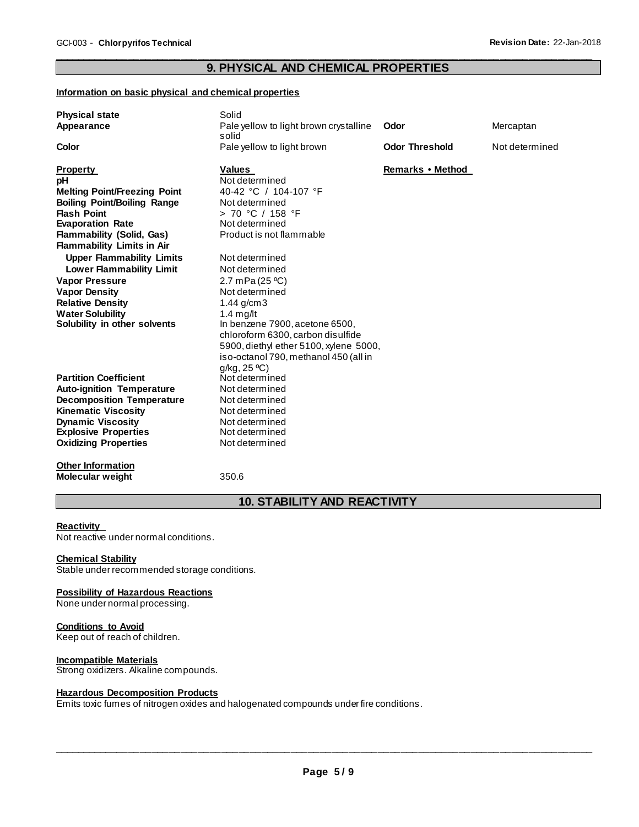#### \_\_\_\_\_\_\_\_\_\_\_\_\_\_\_\_\_\_\_\_\_\_\_\_\_\_\_\_\_\_\_\_\_\_\_\_\_\_\_\_\_\_\_\_\_\_\_\_\_\_\_\_\_\_\_\_\_\_\_\_\_\_\_\_\_\_\_\_\_\_\_\_\_\_\_\_\_\_\_\_\_\_\_\_\_\_\_\_\_\_\_\_\_ **9. PHYSICAL AND CHEMICAL PROPERTIES**

#### **Information on basic physical and chemical properties**

| <b>Physical state</b>               | Solid                                           |                       |                |
|-------------------------------------|-------------------------------------------------|-----------------------|----------------|
| Appearance                          | Pale yellow to light brown crystalline<br>solid | Odor                  | Mercaptan      |
| Color                               | Pale yellow to light brown                      | <b>Odor Threshold</b> | Not determined |
| <b>Property</b>                     | <b>Values</b>                                   | Remarks • Method      |                |
| pH                                  | Not determined                                  |                       |                |
| <b>Melting Point/Freezing Point</b> | 40-42 °C / 104-107 °F                           |                       |                |
| <b>Boiling Point/Boiling Range</b>  | Not determined                                  |                       |                |
| <b>Flash Point</b>                  | > 70 °C / 158 °F                                |                       |                |
| <b>Evaporation Rate</b>             | Not determined                                  |                       |                |
| <b>Flammability (Solid, Gas)</b>    | Product is not flammable                        |                       |                |
| <b>Flammability Limits in Air</b>   |                                                 |                       |                |
| <b>Upper Flammability Limits</b>    | Not determined                                  |                       |                |
| <b>Lower Flammability Limit</b>     | Not determined                                  |                       |                |
| <b>Vapor Pressure</b>               | 2.7 mPa (25 °C)                                 |                       |                |
| <b>Vapor Density</b>                | Not determined                                  |                       |                |
| <b>Relative Density</b>             | 1.44 $g/cm3$                                    |                       |                |
| <b>Water Solubility</b>             | 1.4 $mg/lt$                                     |                       |                |
| Solubility in other solvents        | In benzene 7900, acetone 6500,                  |                       |                |
|                                     | chloroform 6300, carbon disulfide               |                       |                |
|                                     | 5900, diethyl ether 5100, xylene 5000,          |                       |                |
|                                     | iso-octanol 790, methanol 450 (all in           |                       |                |
|                                     | g/kg, 25°C                                      |                       |                |
| <b>Partition Coefficient</b>        | Not determined                                  |                       |                |
| <b>Auto-ignition Temperature</b>    | Not determined                                  |                       |                |
| <b>Decomposition Temperature</b>    | Not determined                                  |                       |                |
| <b>Kinematic Viscosity</b>          | Not determined                                  |                       |                |
| <b>Dynamic Viscosity</b>            | Not determined                                  |                       |                |
| <b>Explosive Properties</b>         | Not determined                                  |                       |                |
| <b>Oxidizing Properties</b>         | Not determined                                  |                       |                |
|                                     |                                                 |                       |                |
| <b>Other Information</b>            |                                                 |                       |                |
| <b>Molecular weight</b>             | 350.6                                           |                       |                |
|                                     |                                                 |                       |                |

# **10. STABILITY AND REACTIVITY**

#### **Reactivity**

Not reactive under normal conditions.

#### **Chemical Stability**

Stable under recommended storage conditions.

#### **Possibility of Hazardous Reactions**

None under normal processing.

#### **Conditions to Avoid**

Keep out of reach of children.

#### **Incompatible Materials**

Strong oxidizers. Alkaline compounds.

#### **Hazardous Decomposition Products**

Emits toxic fumes of nitrogen oxides and halogenated compounds under fire conditions.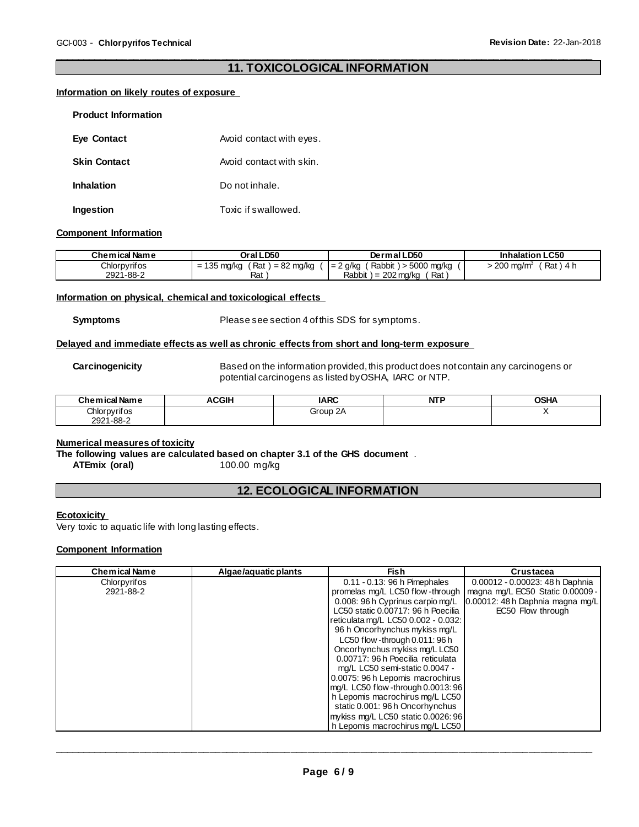#### \_\_\_\_\_\_\_\_\_\_\_\_\_\_\_\_\_\_\_\_\_\_\_\_\_\_\_\_\_\_\_\_\_\_\_\_\_\_\_\_\_\_\_\_\_\_\_\_\_\_\_\_\_\_\_\_\_\_\_\_\_\_\_\_\_\_\_\_\_\_\_\_\_\_\_\_\_\_\_\_\_\_\_\_\_\_\_\_\_\_\_\_\_ **11. TOXICOLOGICAL INFORMATION**

#### **Information on likely routes of exposure**

| <b>Product Information</b> |                          |
|----------------------------|--------------------------|
| <b>Eye Contact</b>         | Avoid contact with eyes. |
| <b>Skin Contact</b>        | Avoid contact with skin. |
| <b>Inhalation</b>          | Do not inhale.           |
| Ingestion                  | Toxic if swallowed.      |

#### **Component Information**

| <b>Chemical Name</b> | Oral LD50                                                      | Dermal LD50                        | <b>Inhalation LC50</b>              |
|----------------------|----------------------------------------------------------------|------------------------------------|-------------------------------------|
| Chlorpyrifos         | Rat<br>) = 82 mg/kg<br>135 $mg/kg$<br>$\overline{\phantom{0}}$ | Rabbit) > 5000 mg/kg<br>$= 2$ g/kg | Rat)<br>$200 \text{ mg/m}^3$<br>4 h |
| 2921-88-2            | Rat                                                            | Rabbit $) = 202$ mg/kg<br>Rat      |                                     |

#### **Information on physical, chemical and toxicological effects**

**Symptoms** Please see section 4 of this SDS for symptoms.

#### **Delayed and immediate effects as well as chronic effects from short and long-term exposure**

**Carcinogenicity** Based on the information provided, this product does not contain any carcinogens or potential carcinogens as listed by OSHA, IARC or NTP.

| <b>Chemical Name</b> | ACGIH | <b>IARC</b> | <b>NTP</b> | <b>OSHA</b> |
|----------------------|-------|-------------|------------|-------------|
| Chlorpyrifos         |       | Group 2A    |            |             |
| 2921-88-2            |       |             |            |             |

#### **Numerical measures of toxicity**

**The following values are calculated based on chapter 3.1 of the GHS document**.<br>ATEmix (oral) 100.00 mg/kg

**ATEmix (oral)** 

# **12. ECOLOGICAL INFORMATION**

#### **Ecotoxicity**

Very toxic to aquatic life with long lasting effects.

#### **Component Information**

| Chemical Name | Algae/aguatic plants | <b>Fish</b>                         | <b>Crustacea</b>                    |
|---------------|----------------------|-------------------------------------|-------------------------------------|
| Chlorpyrifos  |                      | $0.11 - 0.13$ : 96 h Pimephales     | 0.00012 - 0.00023: 48 h Daphnia     |
| 2921-88-2     |                      | promelas mg/L LC50 flow-through     | magna mg/L EC50 Static 0.00009 -    |
|               |                      | 0.008: 96 h Cyprinus carpio mg/L    | $0.00012$ : 48 h Daphnia magna mg/L |
|               |                      | LC50 static 0.00717: 96 h Poecilia  | EC50 Flow through                   |
|               |                      | reticulata mg/L LC50 0.002 - 0.032: |                                     |
|               |                      | 96 h Oncorhynchus mykiss mg/L       |                                     |
|               |                      | LC50 flow -through 0.011: 96 h      |                                     |
|               |                      | Oncorhynchus mykiss mg/LLC50        |                                     |
|               |                      | 0.00717: 96 h Poecilia reticulata   |                                     |
|               |                      | mg/L LC50 semi-static 0.0047 -      |                                     |
|               |                      | 0.0075: 96 h Lepomis macrochirus    |                                     |
|               |                      | mg/L LC50 flow -through 0.0013: 96  |                                     |
|               |                      | h Lepomis macrochirus mg/L LC50     |                                     |
|               |                      | static 0.001: 96 h Oncorhynchus     |                                     |
|               |                      | mykiss mg/L LC50 static 0.0026: 96  |                                     |
|               |                      | h Lepomis macrochirus mg/L LC50     |                                     |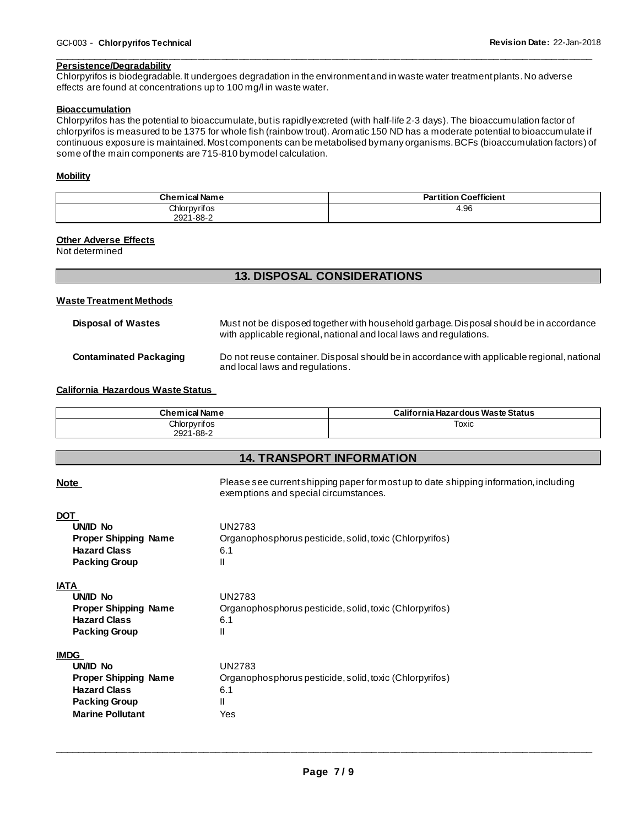#### \_\_\_\_\_\_\_\_\_\_\_\_\_\_\_\_\_\_\_\_\_\_\_\_\_\_\_\_\_\_\_\_\_\_\_\_\_\_\_\_\_\_\_\_\_\_\_\_\_\_\_\_\_\_\_\_\_\_\_\_\_\_\_\_\_\_\_\_\_\_\_\_\_\_\_\_\_\_\_\_\_\_\_\_\_\_\_\_\_\_\_\_\_ **Persistence/Degradability**

Chlorpyrifos is biodegradable. It undergoes degradation in the environment and in waste water treatment plants. No adverse effects are found at concentrations up to 100 mg/l in waste water.

#### **Bioaccumulation**

Chlorpyrifos has the potential to bioaccumulate, but is rapidly excreted (with half-life 2-3 days). The bioaccumulation factor of chlorpyrifos is measured to be 1375 for whole fish (rainbow trout). Aromatic 150 ND has a moderate potential to bioaccumulate if continuous exposure is maintained. Most components can be metabolised by many organisms. BCFs (bioaccumulation factors) of some of the main components are 715-810 by model calculation.

#### **Mobility**

| <b>Chemical Name</b> | <b>Partition Coefficient</b> |
|----------------------|------------------------------|
| Chlorpyrifos         | 4.96                         |
| 2921-88-2            |                              |

### **Other Adverse Effects**

Not determined

# **13. DISPOSAL CONSIDERATIONS**

#### **Waste Treatment Methods**

| <b>Disposal of Wastes</b> | Must not be disposed together with household garbage. Disposal should be in accordance<br>with applicable regional, national and local laws and regulations. |
|---------------------------|--------------------------------------------------------------------------------------------------------------------------------------------------------------|
| Contaminated Packaging    | Do not reuse container. Disposal should be in accordance with applicable regional, national<br>and local laws and regulations.                               |

**California Hazardous Waste Status** 

| <b>Chemical Name</b> | California Hazardous Waste Status |
|----------------------|-----------------------------------|
| Chlorpyrifos         | Toxic                             |
| 2921-88-2            |                                   |

### **14. TRANSPORT INFORMATION**

| <b>Note</b>                                                                                                                      | Please see current shipping paper for most up to date shipping information, including<br>exemptions and special circumstances. |
|----------------------------------------------------------------------------------------------------------------------------------|--------------------------------------------------------------------------------------------------------------------------------|
| <b>DOT</b><br>UN/ID No<br><b>Proper Shipping Name</b><br><b>Hazard Class</b><br><b>Packing Group</b>                             | <b>UN2783</b><br>Organophosphorus pesticide, solid, toxic (Chlorpyrifos)<br>6.1<br>Ш                                           |
| <b>IATA</b><br>UNID No<br><b>Proper Shipping Name</b><br><b>Hazard Class</b><br><b>Packing Group</b>                             | <b>UN2783</b><br>Organophosphorus pesticide, solid, toxic (Chlorpyrifos)<br>6.1<br>Ш                                           |
| <b>IMDG</b><br>UN/ID No<br><b>Proper Shipping Name</b><br><b>Hazard Class</b><br><b>Packing Group</b><br><b>Marine Pollutant</b> | UN2783<br>Organophosphorus pesticide, solid, toxic (Chlorpyrifos)<br>6.1<br>Ш<br>Yes                                           |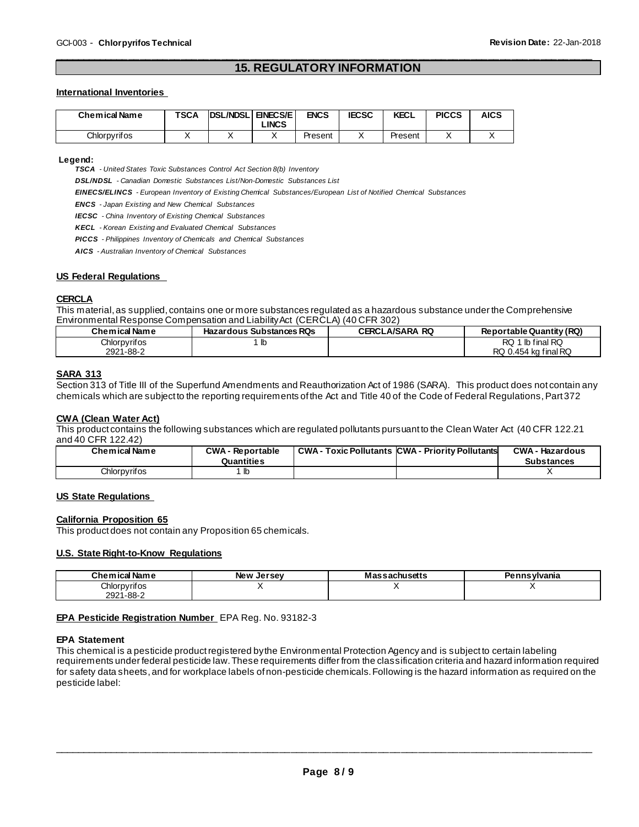#### \_\_\_\_\_\_\_\_\_\_\_\_\_\_\_\_\_\_\_\_\_\_\_\_\_\_\_\_\_\_\_\_\_\_\_\_\_\_\_\_\_\_\_\_\_\_\_\_\_\_\_\_\_\_\_\_\_\_\_\_\_\_\_\_\_\_\_\_\_\_\_\_\_\_\_\_\_\_\_\_\_\_\_\_\_\_\_\_\_\_\_\_\_ **15. REGULATORY INFORMATION**

#### **International Inventories**

| Chemical Name | <b>TSCA</b> | <b>DSL/NDSL</b> | <b>ENECS/E</b><br><b>LINCS</b> | ENCS    | <b>IECSC</b> | <b>KECL</b> | <b>PICCS</b> | <b>AICS</b> |
|---------------|-------------|-----------------|--------------------------------|---------|--------------|-------------|--------------|-------------|
| Chlorpyrifos  |             |                 |                                | Present |              | Present     |              |             |

#### **Legend:**

*TSCA - United States Toxic Substances Control Act Section 8(b) Inventory* 

*DSL/NDSL - Canadian Domestic Substances List/Non-Domestic Substances List* 

*EINECS/ELINCS - European Inventory of Existing Chemical Substances/European List of Notified Chemical Substances* 

*ENCS - Japan Existing and New Chemical Substances* 

*IECSC - China Inventory of Existing Chemical Substances* 

*KECL - Korean Existing and Evaluated Chemical Substances* 

*PICCS - Philippines Inventory of Chemicals and Chemical Substances* 

*AICS - Australian Inventory of Chemical Substances* 

#### **US Federal Regulations**

#### **CERCLA**

This material, as supplied, contains one or more substances regulated as a hazardous substance under the Comprehensive Environmental Response Compensation and Liability Act (CERCLA) (40 CFR 302)

| <b>Chemical Name</b> | <b>Hazardous Substances RQs</b> | <b>CERCLA/SARA RQ</b> | Reportable Quantity (RQ) |
|----------------------|---------------------------------|-----------------------|--------------------------|
| Chlorpyrifos         | lb                              |                       | ∣ lb final RQ<br>RQ :    |
| 2921-88-2            |                                 |                       | RQ 0.454 kg final RQ     |

#### **SARA 313**

Section 313 of Title III of the Superfund Amendments and Reauthorization Act of 1986 (SARA). This product does not contain any chemicals which are subject to the reporting requirements of the Act and Title 40 of the Code of Federal Regulations, Part 372

#### **CWA (Clean Water Act)**

This product contains the following substances which are regulated pollutants pursuant to the Clean Water Act (40 CFR 122.21 and 40 CFR 122.42)

| <b>Chemical Name</b> | <b>CWA - Reportable</b><br>Quantities | <b>CWA - Toxic Pollutants CWA - Priority Pollutants</b> | <b>CWA - Hazardous</b><br><b>Substances</b> |
|----------------------|---------------------------------------|---------------------------------------------------------|---------------------------------------------|
| Chlorpyrifos         | lb                                    |                                                         |                                             |

#### **US State Regulations**

#### **California Proposition 65**

This product does not contain any Proposition 65 chemicals.

#### **U.S. State Right-to-Know Regulations**

| Chemical Name | <b>New Jersey</b> | <b>Massachusetts</b> | Pennsvlvania |
|---------------|-------------------|----------------------|--------------|
| Chlorpyrifos  |                   |                      |              |
| 2921-88-2     |                   |                      |              |

#### **EPA Pesticide Registration Number** EPA Reg. No. 93182-3

#### **EPA Statement**

This chemical is a pesticide product registered by the Environmental Protection Agency and is subject to certain labeling requirements under federal pesticide law. These requirements differ from the classification criteria and hazard information required for safety data sheets, and for workplace labels of non-pesticide chemicals. Following is the hazard information as required on the pesticide label: